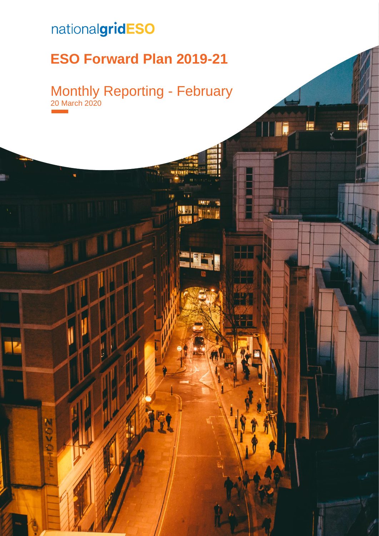# nationalgridESO

6202

## **ESO Forward Plan 2019-21**

Monthly Reporting - February 20 March 2020

FĒ

20 March 2020 | **Error! No text of specified style in document.** 0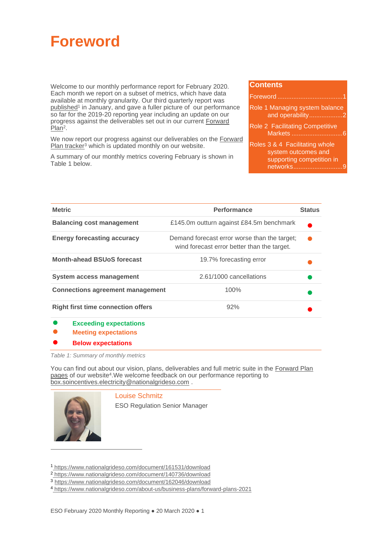<span id="page-1-1"></span>

Welcome to our monthly performance report for February 2020. Each month we report on a subset of metrics, which have data available at monthly granularity. Our third quarterly report was [published](https://www.nationalgrideso.com/document/148691/download)<sup>1</sup> in January, and gave a fuller picture of our performance so far for the 2019-20 reporting year including an update on our progress against the deliverables set out in our current [Forward](https://www.nationalgrideso.com/document/140736/download)  [Plan](https://www.nationalgrideso.com/document/140736/download)<sup>2</sup>.

We now report our progress against our deliverables on the Forward Plan [tracker](https://www.nationalgrideso.com/about-us/business-planning-riio/how-were-performing)<sup>3</sup> which is updated monthly on our website.

A summary of our monthly metrics covering February is shown in [Table 1](#page-1-0) below.

#### **Contents**

| Role 1 Managing system balance<br>and operability2                                              |
|-------------------------------------------------------------------------------------------------|
| Role 2 Facilitating Competitive                                                                 |
| Roles 3 & 4 Facilitating whole<br>system outcomes and<br>supporting competition in<br>networks9 |

| <b>Metric</b>                             | <b>Performance</b>                                                                          | <b>Status</b> |
|-------------------------------------------|---------------------------------------------------------------------------------------------|---------------|
| <b>Balancing cost management</b>          | £145.0m outturn against £84.5m benchmark                                                    |               |
| <b>Energy forecasting accuracy</b>        | Demand forecast error worse than the target;<br>wind forecast error better than the target. |               |
| <b>Month-ahead BSUoS forecast</b>         | 19.7% forecasting error                                                                     |               |
| <b>System access management</b>           | 2.61/1000 cancellations                                                                     |               |
| <b>Connections agreement management</b>   | 100%                                                                                        |               |
| <b>Right first time connection offers</b> | 92%                                                                                         |               |
|                                           |                                                                                             |               |

- **Exceeding expectations**
- **Meeting expectations**
- **Below expectations**

<span id="page-1-0"></span>*Table 1: Summary of monthly metrics*

You can find out about our vision, plans, deliverables and full metric suite in the [Forward Plan](https://www.nationalgrideso.com/about-us/business-plans/forward-plans-2021)  [pages](https://www.nationalgrideso.com/about-us/business-plans/forward-plans-2021) of our website<sup>4</sup>. We welcome feedback on our performance reporting to [box.soincentives.electricity@nationalgrideso.com](mailto:box.soincentives.electricity@nationalgrideso.com) .



Louise Schmitz

ESO Regulation Senior Manager

<sup>3</sup> <https://www.nationalgrideso.com/document/162046/download>

<sup>1</sup> <https://www.nationalgrideso.com/document/161531/download>

<sup>2</sup> <https://www.nationalgrideso.com/document/140736/download>

<sup>4</sup> <https://www.nationalgrideso.com/about-us/business-plans/forward-plans-2021>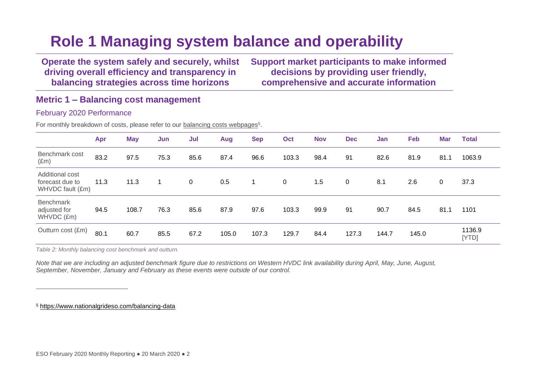# **Role 1 Managing system balance and operability**

**Operate the system safely and securely, whilst driving overall efficiency and transparency in balancing strategies across time horizons**

**Support market participants to make informed decisions by providing user friendly, comprehensive and accurate information**

## **Metric 1 – Balancing cost management**

## February 2020 Performance

For monthly breakdown of costs, please refer to our **balancing costs webpages**<sup>5</sup>.

<span id="page-2-0"></span>

|                                                        | Apr  | <b>May</b> | Jun  | Jul         | Aug   | <b>Sep</b> | Oct         | <b>Nov</b> | <b>Dec</b> | Jan   | Feb   | <b>Mar</b> | <b>Total</b>    |
|--------------------------------------------------------|------|------------|------|-------------|-------|------------|-------------|------------|------------|-------|-------|------------|-----------------|
| Benchmark cost<br>$(\text{Em})$                        | 83.2 | 97.5       | 75.3 | 85.6        | 87.4  | 96.6       | 103.3       | 98.4       | 91         | 82.6  | 81.9  | 81.1       | 1063.9          |
| Additional cost<br>forecast due to<br>WHVDC fault (£m) | 11.3 | 11.3       |      | $\mathbf 0$ | 0.5   | -1         | $\mathbf 0$ | 1.5        | 0          | 8.1   | 2.6   | 0          | 37.3            |
| <b>Benchmark</b><br>adjusted for<br>WHVDC (£m)         | 94.5 | 108.7      | 76.3 | 85.6        | 87.9  | 97.6       | 103.3       | 99.9       | 91         | 90.7  | 84.5  | 81.1       | 1101            |
| Outturn cost (£m)                                      | 80.1 | 60.7       | 85.5 | 67.2        | 105.0 | 107.3      | 129.7       | 84.4       | 127.3      | 144.7 | 145.0 |            | 1136.9<br>[YTD] |

*Table 2: Monthly balancing cost benchmark and outturn.*

*Note that we are including an adjusted benchmark figure due to restrictions on Western HVDC link availability during April, May, June, August, September, November, January and February as these events were outside of our control.*

<sup>5</sup> <https://www.nationalgrideso.com/balancing-data>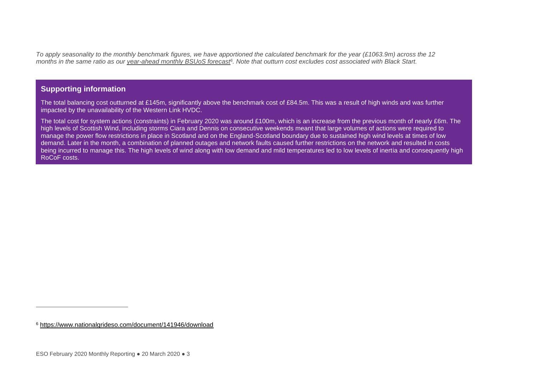*To apply seasonality to the monthly benchmark figures, we have apportioned the calculated benchmark for the year (£1063.9m) across the 12 months in the same ratio as our [year-ahead monthly BSUoS forecast](https://www.nationalgrideso.com/document/141946/download)<sup>6</sup> . Note that outturn cost excludes cost associated with Black Start.*

## **Supporting information**

The total balancing cost outturned at £145m, significantly above the benchmark cost of £84.5m. This was a result of high winds and was further impacted by the unavailability of the Western Link HVDC.

The total cost for system actions (constraints) in February 2020 was around £100m, which is an increase from the previous month of nearly £6m. The high levels of Scottish Wind, including storms Ciara and Dennis on consecutive weekends meant that large volumes of actions were required to manage the power flow restrictions in place in Scotland and on the England-Scotland boundary due to sustained high wind levels at times of low demand. Later in the month, a combination of planned outages and network faults caused further restrictions on the network and resulted in costs being incurred to manage this. The high levels of wind along with low demand and mild temperatures led to low levels of inertia and consequently high RoCoF costs.

<sup>6</sup> <https://www.nationalgrideso.com/document/141946/download>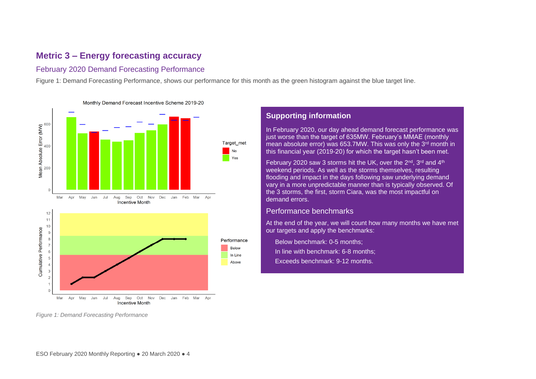## **Metric 3 – Energy forecasting accuracy**

## February 2020 Demand Forecasting Performance

[Figure 1: Demand Forecasting Performance,](#page-4-0) shows our performance for this month as the green histogram against the blue target line.



**Supporting information**

In February 2020, our day ahead demand forecast performance was just worse than the target of 635MW. February's MMAE (monthly mean absolute error) was 653.7MW. This was only the 3rd month in this financial year (2019-20) for which the target hasn't been met.

February 2020 saw 3 storms hit the UK, over the 2<sup>nd</sup>, 3<sup>rd</sup> and 4<sup>th</sup> weekend periods. As well as the storms themselves, resulting flooding and impact in the days following saw underlying demand vary in a more unpredictable manner than is typically observed. Of the 3 storms, the first, storm Ciara, was the most impactful on demand errors.

#### Performance benchmarks

At the end of the year, we will count how many months we have met our targets and apply the benchmarks:

Below benchmark: 0-5 months: In line with benchmark: 6-8 months; • Exceeds benchmark: 9-12 months.

<span id="page-4-0"></span>*Figure 1: Demand Forecasting Performance*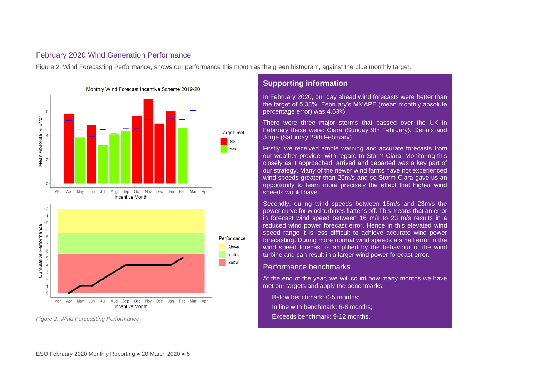### February 2020 Wind Generation Performance

[Figure 2: Wind Forecasting Performance,](#page-5-0) shows our performance this month as the green histogram, against the blue monthly target.



Monthly Wind Forecast Incentive Scheme 2019-20

## **Supporting information**

In February 2020, our day ahead wind forecasts were better than the target of 5.33%. February's MMAPE (mean monthly absolute percentage error) was 4.63%.

There were three major storms that passed over the UK in February these were: Ciara (Sunday 9th February), Dennis and Jorge (Saturday 29th February)

Firstly, we received ample warning and accurate forecasts from our weather provider with regard to Storm Ciara. Monitoring this closely as it approached, arrived and departed was a key part of our strategy. Many of the newer wind farms have not experienced wind speeds greater than 20m/s and so Storm Ciara gave us an opportunity to learn more precisely the effect that higher wind speeds would have.

Secondly, during wind speeds between 16m/s and 23m/s the power curve for wind turbines flattens off. This means that an error in forecast wind speed between 16 m/s to 23 m/s results in a reduced wind power forecast error. Hence in this elevated wind speed range it is less difficult to achieve accurate wind power forecasting. During more normal wind speeds a small error in the wind speed forecast is amplified by the behaviour of the wind turbine and can result in a larger wind power forecast error.

#### Performance benchmarks

At the end of the year, we will count how many months we have met our targets and apply the benchmarks:

Below benchmark: 0-5 months: • In line with benchmark: 6-8 months; • Exceeds benchmark: 9-12 months.

<span id="page-5-0"></span>*Figure 2: Wind Forecasting Performance*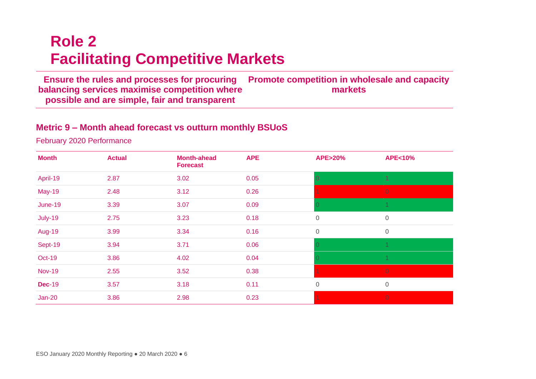# **Role 2 Facilitating Competitive Markets**

**Ensure the rules and processes for procuring balancing services maximise competition where possible and are simple, fair and transparent Promote competition in wholesale and capacity markets**

## **Metric 9 – Month ahead forecast vs outturn monthly BSUoS**

February 2020 Performance

<span id="page-6-0"></span>

| <b>Month</b>  | <b>Actual</b> | <b>Month-ahead</b><br><b>Forecast</b> | <b>APE</b> | <b>APE&gt;20%</b> | <b>APE&lt;10%</b> |
|---------------|---------------|---------------------------------------|------------|-------------------|-------------------|
| April-19      | 2.87          | 3.02                                  | 0.05       | $\overline{0}$    | $\overline{1}$    |
| <b>May-19</b> | 2.48          | 3.12                                  | 0.26       |                   | $\overline{0}$    |
| June-19       | 3.39          | 3.07                                  | 0.09       |                   |                   |
| July-19       | 2.75          | 3.23                                  | 0.18       | $\mathbf 0$       | $\mathbf 0$       |
| <b>Aug-19</b> | 3.99          | 3.34                                  | 0.16       | $\mathbf 0$       | $\mathbf 0$       |
| Sept-19       | 3.94          | 3.71                                  | 0.06       |                   |                   |
| <b>Oct-19</b> | 3.86          | 4.02                                  | 0.04       |                   |                   |
| <b>Nov-19</b> | 2.55          | 3.52                                  | 0.38       |                   | $\overline{0}$    |
| <b>Dec-19</b> | 3.57          | 3.18                                  | 0.11       | $\overline{0}$    | $\mathbf 0$       |
| $Jan-20$      | 3.86          | 2.98                                  | 0.23       |                   | $\overline{0}$    |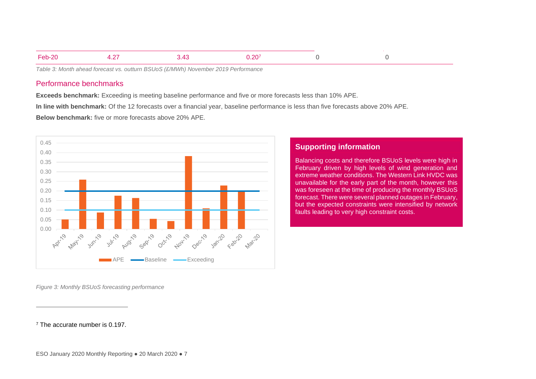| $F_0h_2$<br>- 60 | $\sim$ |  | ാറു |  |  |  |
|------------------|--------|--|-----|--|--|--|
|------------------|--------|--|-----|--|--|--|

*Table 3: Month ahead forecast vs. outturn BSUoS (£/MWh) November 2019 Performance*

#### Performance benchmarks

**Exceeds benchmark:** Exceeding is meeting baseline performance and five or more forecasts less than 10% APE.

**In line with benchmark:** Of the 12 forecasts over a financial year, baseline performance is less than five forecasts above 20% APE.

**Below benchmark:** five or more forecasts above 20% APE.



## **Supporting information**

Balancing costs and therefore BSUoS levels were high in February driven by high levels of wind generation and extreme weather conditions. The Western Link HVDC was unavailable for the early part of the month, however this was foreseen at the time of producing the monthly BSUoS forecast. There were several planned outages in February, but the expected constraints were intensified by network faults leading to very high constraint costs.

*Figure 3: Monthly BSUoS forecasting performance*

<sup>7</sup> The accurate number is 0.197.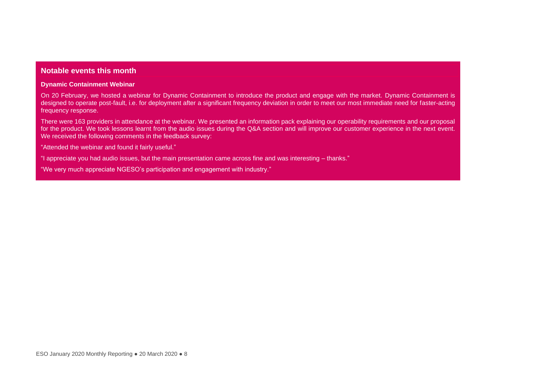### **Notable events this month**

#### **Dynamic Containment Webinar**

On 20 February, we hosted a webinar for Dynamic Containment to introduce the product and engage with the market. Dynamic Containment is designed to operate post-fault, i.e. for deployment after a significant frequency deviation in order to meet our most immediate need for faster-acting frequency response.

There were 163 providers in attendance at the webinar. We presented an information pack explaining our operability requirements and our proposal for the product. We took lessons learnt from the audio issues during the Q&A section and will improve our customer experience in the next event. We received the following comments in the feedback survey:

"Attended the webinar and found it fairly useful."

"I appreciate you had audio issues, but the main presentation came across fine and was interesting – thanks."

"We very much appreciate NGESO's participation and engagement with industry."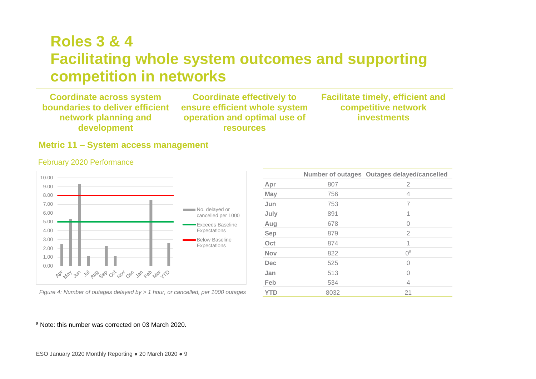# **Roles 3 & 4 Facilitating whole system outcomes and supporting competition in networks**

**Coordinate across system boundaries to deliver efficient network planning and development Coordinate effectively to ensure efficient whole system operation and optimal use of resources Facilitate timely, efficient and competitive network investments**

## **Metric 11 – System access management**

<span id="page-9-0"></span>

### February 2020 Performance

*Figure 4: Number of outages delayed by > 1 hour, or cancelled, per 1000 outages* 

|            |      | Number of outages Outages delayed/cancelled |
|------------|------|---------------------------------------------|
| Apr        | 807  | $\overline{2}$                              |
| May        | 756  | 4                                           |
| Jun        | 753  | 7                                           |
| July       | 891  | 1                                           |
| Aug        | 678  | Λ                                           |
| Sep        | 879  | 2                                           |
| Oct        | 874  | 1                                           |
| <b>Nov</b> | 822  | $\Omega^8$                                  |
| Dec        | 525  | Λ                                           |
| Jan        | 513  | 0                                           |
| Feb        | 534  | 4                                           |
| YTD        | 8032 | 21                                          |

<sup>8</sup> Note: this number was corrected on 03 March 2020.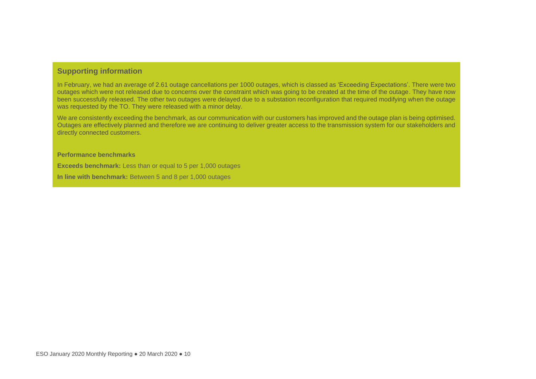## **Supporting information**

In February, we had an average of 2.61 outage cancellations per 1000 outages, which is classed as 'Exceeding Expectations'. There were two outages which were not released due to concerns over the constraint which was going to be created at the time of the outage. They have now been successfully released. The other two outages were delayed due to a substation reconfiguration that required modifying when the outage was requested by the TO. They were released with a minor delay.

We are consistently exceeding the benchmark, as our communication with our customers has improved and the outage plan is being optimised. Outages are effectively planned and therefore we are continuing to deliver greater access to the transmission system for our stakeholders and directly connected customers.

**Performance benchmarks**

**Exceeds benchmark:** Less than or equal to 5 per 1,000 outages

**In line with benchmark:** Between 5 and 8 per 1,000 outages

**Below benchmark:** More than 8 per 1,000 outages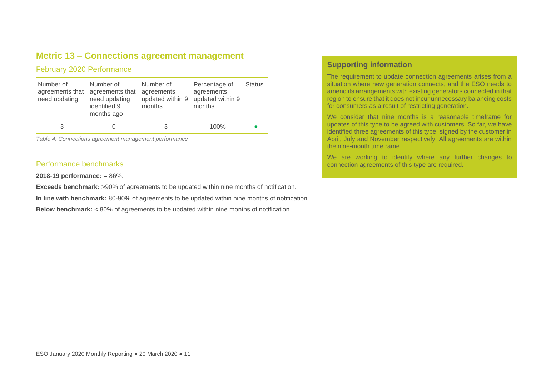## **Metric 13 – Connections agreement management**

## February 2020 Performance

| Number of<br>agreements that<br>need updating | Number of<br>agreements that<br>need updating<br>identified 9<br>months ago | Number of<br>agreements<br>updated within 9<br>months | Percentage of<br>agreements<br>updated within 9<br>months | <b>Status</b> |
|-----------------------------------------------|-----------------------------------------------------------------------------|-------------------------------------------------------|-----------------------------------------------------------|---------------|
| 3                                             |                                                                             | 3                                                     | 100%                                                      |               |

*Table 4: Connections agreement management performance*

#### Performance benchmarks

**2018-19 performance:** = 86%.

**Exceeds benchmark:** >90% of agreements to be updated within nine months of notification.

**In line with benchmark:** 80-90% of agreements to be updated within nine months of notification.

**Below benchmark:** < 80% of agreements to be updated within nine months of notification.

## **Supporting information**

.

The requirement to update connection agreements arises from a situation where new generation connects, and the ESO needs to amend its arrangements with existing generators connected in that region to ensure that it does not incur unnecessary balancing costs for consumers as a result of restricting generation.

We consider that nine months is a reasonable timeframe for updates of this type to be agreed with customers. So far, we have identified three agreements of this type, signed by the customer in April, July and November respectively. All agreements are within the nine-month timeframe.

We are working to identify where any further changes to connection agreements of this type are required.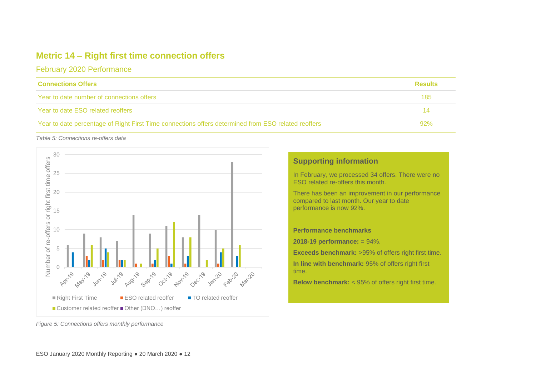## **Metric 14 – Right first time connection offers**

February 2020 Performance

| <b>Connections Offers</b>                                                                           | <b>Results</b> |
|-----------------------------------------------------------------------------------------------------|----------------|
| Year to date number of connections offers                                                           | 185            |
| Year to date ESO related reoffers                                                                   | 14             |
| Year to date percentage of Right First Time connections offers determined from ESO related reoffers | 92%            |

*Table 5: Connections re-offers data*



## **Supporting information**

In February, we processed 34 offers. There were no ESO related re-offers this month.

There has been an improvement in our performance compared to last month. Our year to date performance is now 92%.

**Performance benchmarks**

**2018-19 performance:** = 94%.

**Exceeds benchmark:** >95% of offers right first time. **In line with benchmark:** 95% of offers right first time.

**Below benchmark:** < 95% of offers right first time.

*Figure 5: Connections offers monthly performance*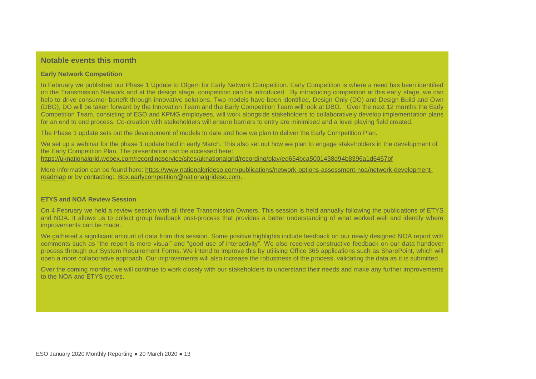## **Notable events this month**

#### **Early Network Competition**

In February we published our Phase 1 Update to Ofgem for Early Network Competition. Early Competition is where a need has been identified on the Transmission Network and at the design stage, competition can be introduced. By introducing competition at this early stage, we can help to drive consumer benefit through innovative solutions. Two models have been identified, Design Only (DO) and Design Build and Own (DBO), DO will be taken forward by the Innovation Team and the Early Competition Team will look at DBO. Over the next 12 months the Early Competition Team, consisting of ESO and KPMG employees, will work alongside stakeholders to collaboratively develop implementation plans for an end to end process. Co-creation with stakeholders will ensure barriers to entry are minimised and a level playing field created.

The Phase 1 update sets out the development of models to date and how we plan to deliver the Early Competition Plan.

We set up a webinar for the phase 1 update held in early March. This also set out how we plan to engage stakeholders in the development of the Early Competition Plan. The presentation can be accessed here: <https://uknationalgrid.webex.com/recordingservice/sites/uknationalgrid/recording/play/ed654bca5001438d94b8396a1d6457bf>

More information can be found here: [https://www.nationalgrideso.com/publications/network-options-assessment-noa/network-development](https://www.nationalgrideso.com/publications/network-options-assessment-noa/network-development-roadmap)[roadmap](https://www.nationalgrideso.com/publications/network-options-assessment-noa/network-development-roadmap) or by contacting: [.Box.earlycompetition@nationalgrideso.com.](mailto:Box.earlycompetition@nationalgrideso.com)

#### **ETYS and NOA Review Session**

On 4 February we held a review session with all three Transmission Owners. This session is held annually following the publications of ETYS and NOA. It allows us to collect group feedback post-process that provides a better understanding of what worked well and identify where improvements can be made.

We gathered a significant amount of data from this session. Some positive highlights include feedback on our newly designed NOA report with comments such as "the report is more visual" and "good use of interactivity". We also received constructive feedback on our data handover process through our System Requirement Forms. We intend to improve this by utilising Office 365 applications such as SharePoint, which will open a more collaborative approach. Our improvements will also increase the robustness of the process, validating the data as it is submitted.

Over the coming months, we will continue to work closely with our stakeholders to understand their needs and make any further improvements to the NOA and ETYS cycles.